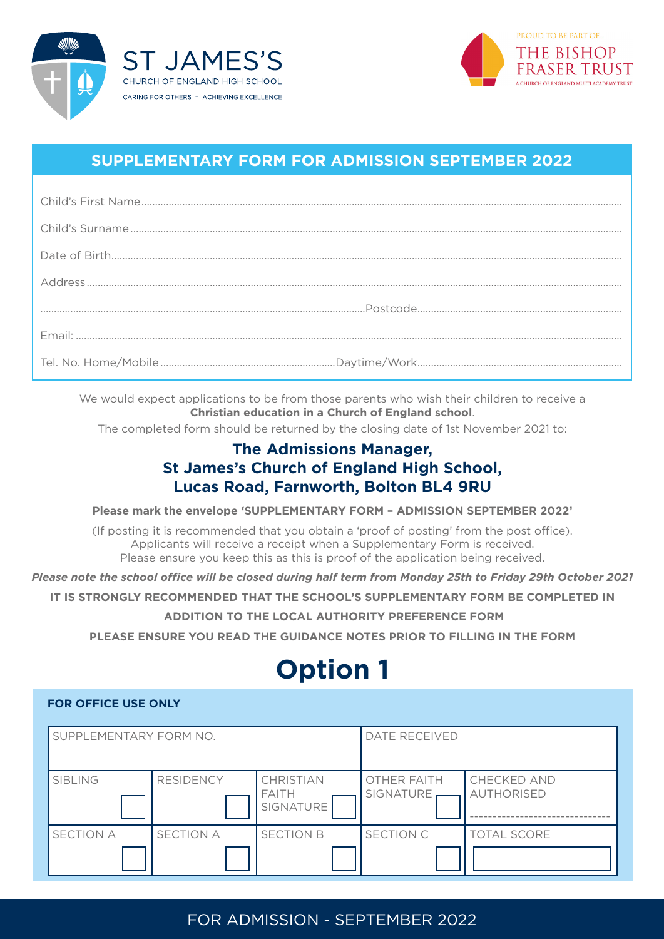



## **SUPPLEMENTARY FORM FOR ADMISSION SEPTEMBER 2022**

We would expect applications to be from those parents who wish their children to receive a **Christian education in a Church of England school**.

The completed form should be returned by the closing date of 1st November 2021 to:

## **The Admissions Manager, St James's Church of England High School, Lucas Road, Farnworth, Bolton BL4 9RU**

**Please mark the envelope 'SUPPLEMENTARY FORM – ADMISSION SEPTEMBER 2022'**

(If posting it is recommended that you obtain a 'proof of posting' from the post office). Applicants will receive a receipt when a Supplementary Form is received. Please ensure you keep this as this is proof of the application being received.

*Please note the school office will be closed during half term from Monday 25th to Friday 29th October 2021*

**IT IS STRONGLY RECOMMENDED THAT THE SCHOOL'S SUPPLEMENTARY FORM BE COMPLETED IN**

 **ADDITION TO THE LOCAL AUTHORITY PREFERENCE FORM**

**PLEASE ENSURE YOU READ THE GUIDANCE NOTES PRIOR TO FILLING IN THE FORM**

# **Option 1**

#### **FOR OFFICE USE ONLY**

| SUPPLEMENTARY FORM NO. |                  | <b>DATE RECEIVED</b>                   |                                 |                                         |
|------------------------|------------------|----------------------------------------|---------------------------------|-----------------------------------------|
| <b>SIBLING</b>         | <b>RESIDENCY</b> | CHRISTIAN<br><b>FAITH</b><br>SIGNATURE | <b>OTHER FAITH</b><br>SIGNATURE | <b>CHECKED AND</b><br><b>AUTHORISED</b> |
| <b>SECTION A</b>       | <b>SECTION A</b> | <b>SECTION B</b>                       | SECTION C                       | <b>TOTAL SCORE</b>                      |

## FOR ADMISSION - SEPTEMBER 2022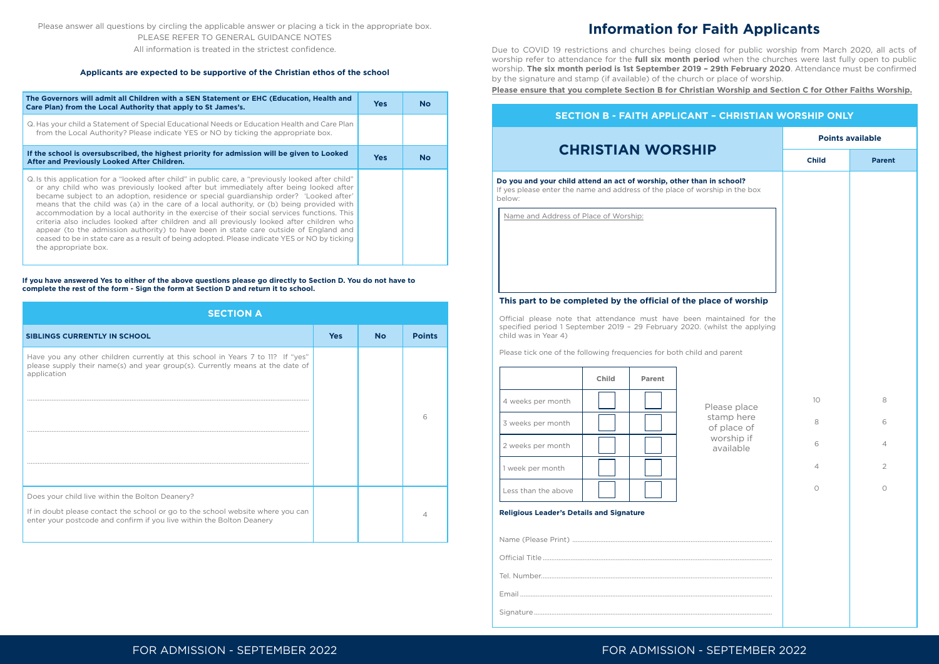| <b>SECTION A</b>                                                                                                                                                                                            |            |           |               |
|-------------------------------------------------------------------------------------------------------------------------------------------------------------------------------------------------------------|------------|-----------|---------------|
| <b>SIBLINGS CURRENTLY IN SCHOOL</b>                                                                                                                                                                         | <b>Yes</b> | <b>No</b> | <b>Points</b> |
| Have you any other children currently at this school in Years 7 to 11? If "yes"<br>please supply their name(s) and year group(s). Currently means at the date of<br>application                             |            |           |               |
|                                                                                                                                                                                                             |            |           |               |
|                                                                                                                                                                                                             |            |           |               |
|                                                                                                                                                                                                             |            |           |               |
| Does your child live within the Bolton Deanery?<br>If in doubt please contact the school or go to the school website where you can<br>enter your postcode and confirm if you live within the Bolton Deanery |            |           |               |

Do you and your child attend an act of worship, other than If yes please enter the name and address of the place of worship below:

## FOR ADMISSION - SEPTEMBER 2022 FOR ADMISSION - SEPTEMBER 2022

Please answer all questions by circling the applicable answer or placing a tick in the appropriate box. PLEASE REFER TO GENERAL GUIDANCE NOTES

All information is treated in the strictest confidence.

#### **Applicants are expected to be supportive of the Christian ethos of the school**

Official please note that attendance must have been m specified period 1 September 2019 - 29 February 2020. (v child was in Year 4)

Please tick one of the following frequencies for both child and

| The Governors will admit all Children with a SEN Statement or EHC (Education, Health and<br>Care Plan) from the Local Authority that apply to St James's.                                                                                                                                                                                                                                                                                                                                                                                                                                                                                                                                                                                                                                         | <b>Yes</b> | <b>No</b> |
|---------------------------------------------------------------------------------------------------------------------------------------------------------------------------------------------------------------------------------------------------------------------------------------------------------------------------------------------------------------------------------------------------------------------------------------------------------------------------------------------------------------------------------------------------------------------------------------------------------------------------------------------------------------------------------------------------------------------------------------------------------------------------------------------------|------------|-----------|
| Q. Has your child a Statement of Special Educational Needs or Education Health and Care Plan<br>from the Local Authority? Please indicate YES or NO by ticking the appropriate box.                                                                                                                                                                                                                                                                                                                                                                                                                                                                                                                                                                                                               |            |           |
| If the school is oversubscribed, the highest priority for admission will be given to Looked<br>After and Previously Looked After Children.                                                                                                                                                                                                                                                                                                                                                                                                                                                                                                                                                                                                                                                        | <b>Yes</b> | <b>No</b> |
| Q. Is this application for a "looked after child" in public care, a "previously looked after child"<br>or any child who was previously looked after but immediately after being looked after<br>became subject to an adoption, residence or special guardianship order? 'Looked after'<br>means that the child was (a) in the care of a local authority, or (b) being provided with<br>accommodation by a local authority in the exercise of their social services functions. This<br>criteria also includes looked after children and all previously looked after children who<br>appear (to the admission authority) to have been in state care outside of England and<br>ceased to be in state care as a result of being adopted. Please indicate YES or NO by ticking<br>the appropriate box. |            |           |

**If you have answered Yes to either of the above questions please go directly to Section D. You do not have to complete the rest of the form - Sign the form at Section D and return it to school.**

| <b>T - CHRISTIAN WORSHIP ONLY</b>          |                         |                |
|--------------------------------------------|-------------------------|----------------|
|                                            | <b>Points available</b> |                |
| IP                                         | <b>Child</b>            | <b>Parent</b>  |
| n in school?<br>orship in the box          |                         |                |
|                                            |                         |                |
| lace of worship                            |                         |                |
| maintained for the<br>(whilst the applying |                         |                |
| and parent                                 |                         |                |
| Please place                               | 10                      | 8              |
| stamp here<br>of place of                  | 8                       | 6              |
| worship if<br>available                    | 6                       | $\overline{4}$ |
|                                            | $\overline{4}$          | $\overline{2}$ |
|                                            | 0                       | 0              |
|                                            |                         |                |
|                                            |                         |                |
|                                            |                         |                |
|                                            |                         |                |
|                                            |                         |                |
|                                            |                         |                |

## **Information for Faith Applicants**

Due to COVID 19 restrictions and churches being closed for public worship from March 2020, all acts of worship refer to attendance for the **full six month period** when the churches were last fully open to public worship. **The six month period is 1st September 2019 – 29th February 2020**. Attendance must be confirmed by the signature and stamp (if available) of the church or place of worship. **Please ensure that you complete Section B for Christian Worship and Section C for Other Faiths Worship.**

#### **SECTION B - FAITH APPLICANT**

## **CHRISTIAN WORSHI**

Name and Address of Place of Worship:

#### This part to be completed by the official of the pla

|                     | Child | <b>Parent</b> |
|---------------------|-------|---------------|
| 4 weeks per month   |       |               |
| 3 weeks per month   |       |               |
| 2 weeks per month   |       |               |
| 1 week per month    |       |               |
| Less than the above |       |               |

#### **Religious Leader's Details and Signature**